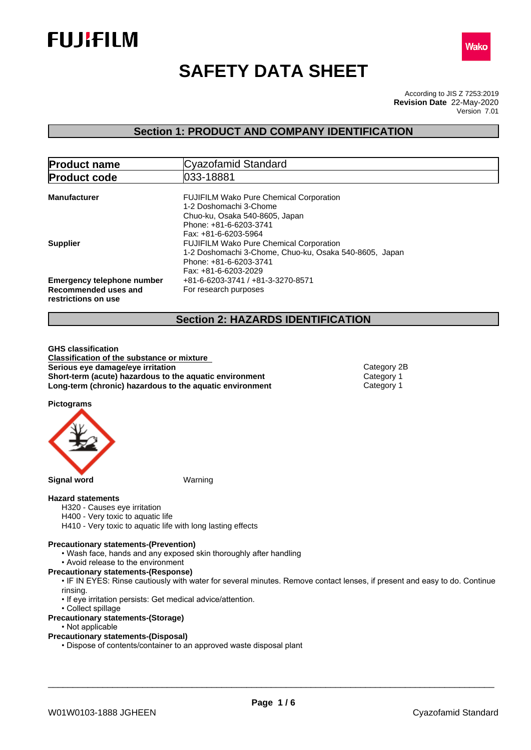



# **SAFETY DATA SHEET**

According to JIS Z 7253:2019 Version 7.01 **Revision Date** 22-May-2020

## **Section 1: PRODUCT AND COMPANY IDENTIFICATION**

| <b>Product name</b>                                                              | Cyazofamid Standard                                                                                                                                          |  |  |
|----------------------------------------------------------------------------------|--------------------------------------------------------------------------------------------------------------------------------------------------------------|--|--|
| <b>Product code</b>                                                              | 033-18881                                                                                                                                                    |  |  |
| <b>Manufacturer</b>                                                              | <b>FUJIFILM Wako Pure Chemical Corporation</b><br>1-2 Doshomachi 3-Chome<br>Chuo-ku, Osaka 540-8605, Japan<br>Phone: +81-6-6203-3741<br>Fax: +81-6-6203-5964 |  |  |
| <b>Supplier</b>                                                                  | <b>FUJIFILM Wako Pure Chemical Corporation</b><br>1-2 Doshomachi 3-Chome, Chuo-ku, Osaka 540-8605, Japan<br>Phone: +81-6-6203-3741<br>Fax: +81-6-6203-2029   |  |  |
| <b>Emergency telephone number</b><br>Recommended uses and<br>restrictions on use | +81-6-6203-3741 / +81-3-3270-8571<br>For research purposes                                                                                                   |  |  |

## **Section 2: HAZARDS IDENTIFICATION**

**GHS classification Classification of the substance or mixture Serious** eye damage/eye irritation **Category 2B Category 2B Short-term (acute) hazardous to the aquatic environment** Category 1<br> **Long-term (chronic) hazardous to the aquatic environment** Category 1 **Long-term (chronic) hazardous to the aquatic environment** 

**Pictograms**



#### **Hazard statements**

- H320 Causes eye irritation
- H400 Very toxic to aquatic life
- H410 Very toxic to aquatic life with long lasting effects

#### **Precautionary statements-(Prevention)**

- Wash face, hands and any exposed skin thoroughly after handling
- Avoid release to the environment
- **Precautionary statements-(Response)**
	- IF IN EYES: Rinse cautiously with water for several minutes. Remove contact lenses, if present and easy to do. Continue rinsing.
	- If eye irritation persists: Get medical advice/attention.
- Collect spillage
- **Precautionary statements-(Storage)**
	- Not applicable

## **Precautionary statements-(Disposal)**

• Dispose of contents/container to an approved waste disposal plant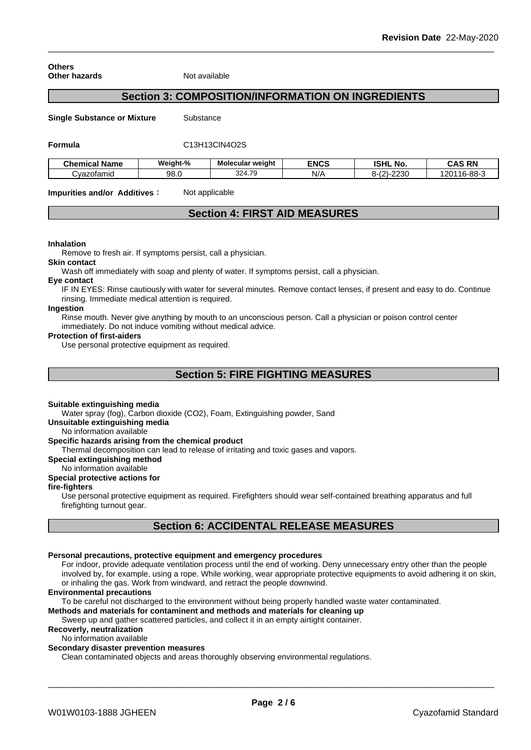**Others Other hazards** Not available

## **Section 3: COMPOSITION/INFORMATION ON INGREDIENTS**

**Single Substance or Mixture** Substance

**Formula** C13H13ClN4O2S

| <b>Chemical Name</b> | Weiaht-% | Molecular weight | <b>ENCS</b> | וניסו<br>NO.<br>וספו                                  | <b>CAS RN</b>           |
|----------------------|----------|------------------|-------------|-------------------------------------------------------|-------------------------|
| Cvazotamid           | 98.0     | 324.79           | N/r         | つつつの<br>$\sqrt{ }$<br>. .<br>о-і<br>.<br>∠∪<br>$\sim$ | 1000<br>201<br>. ხ-88-ა |

**Impurities and/or Additives:** Not applicable

## **Section 4: FIRST AID MEASURES**

#### **Inhalation**

Remove to fresh air. If symptoms persist, call a physician.

**Skin contact**

Wash off immediately with soap and plenty of water. If symptoms persist, call a physician.

#### **Eye contact**

IF IN EYES: Rinse cautiously with water for several minutes. Remove contact lenses, if present and easy to do. Continue rinsing. Immediate medical attention is required.

## **Ingestion**

Rinse mouth. Never give anything by mouth to an unconscious person. Call a physician or poison control center immediately. Do not induce vomiting without medical advice.

#### **Protection of first-aiders**

Use personal protective equipment as required.

## **Section 5: FIRE FIGHTING MEASURES**

#### **Suitable extinguishing media**

Water spray (fog), Carbon dioxide (CO2), Foam, Extinguishing powder, Sand

**Unsuitable extinguishing media**

## No information available

#### **Specific hazards arising from the chemical product**

Thermal decomposition can lead to release of irritating and toxic gases and vapors.

#### **Special extinguishing method**

No information available

## **Special protective actions for**

#### **fire-fighters**

Use personal protective equipment as required.Firefighters should wear self-contained breathing apparatus and full firefighting turnout gear.

## **Section 6: ACCIDENTAL RELEASE MEASURES**

## **Personal precautions, protective equipment and emergency procedures**

For indoor, provide adequate ventilation process until the end of working. Deny unnecessary entry other than the people involved by, for example, using a rope. While working, wear appropriate protective equipments to avoid adhering it on skin, or inhaling the gas. Work from windward, and retract the people downwind.

#### **Environmental precautions**

To be careful not discharged to the environment without being properly handled waste water contaminated.

## **Methods and materials for contaminent and methods and materials for cleaning up**

Sweep up and gather scattered particles, and collect it in an empty airtight container.

## **Recoverly, neutralization**

## No information available

**Secondary disaster prevention measures**

Clean contaminated objects and areas thoroughly observing environmental regulations.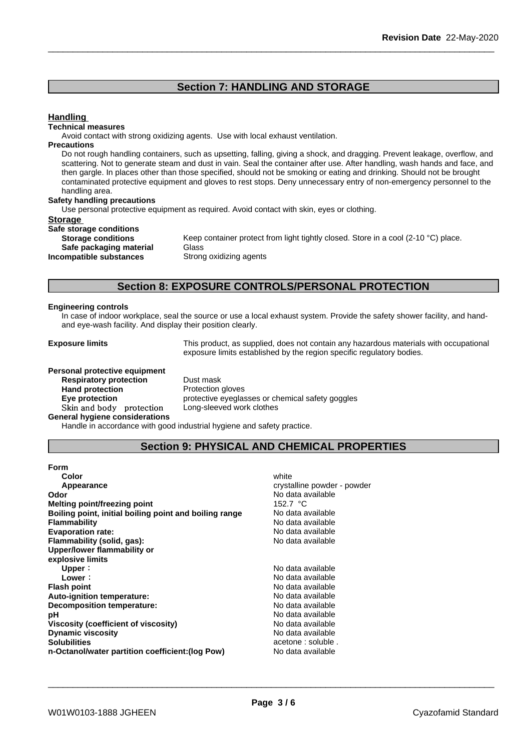## **Section 7: HANDLING AND STORAGE**

## **Handling**

#### **Technical measures**

Avoid contact with strong oxidizing agents. Use with local exhaust ventilation.

#### **Precautions**

Do not rough handling containers, such as upsetting, falling, giving a shock, and dragging. Prevent leakage, overflow, and scattering. Not to generate steam and dust in vain. Seal the container after use. After handling, wash hands and face, and then gargle. In places other than those specified, should not be smoking or eating and drinking. Should not be brought contaminated protective equipment and gloves to rest stops. Deny unnecessary entry of non-emergency personnel to the handling area.

#### **Safety handling precautions**

Use personal protective equipment as required.Avoid contact with skin, eyes or clothing.

#### **Storage**

| Safe storage conditions   |             |
|---------------------------|-------------|
| <b>Storage conditions</b> | Keep conta  |
| Safe packaging material   | Glass       |
| Incompatible substances   | Strong oxid |

Keep container protect from light tightly closed. Store in a cool (2-10 °C) place. **Safe packaging material** Glass **Strong oxidizing agents** 

## **Section 8: EXPOSURE CONTROLS/PERSONAL PROTECTION**

#### **Engineering controls**

In case of indoor workplace, seal the source or use a local exhaust system. Provide the safety shower facility, and handand eye-wash facility. And display their position clearly.

**Exposure limits** This product, as supplied, does not contain any hazardous materials with occupational exposure limits established by the region specific regulatory bodies.

#### **Personal protective equipment**

**Respiratory protection** Dust mask **Hand protection**<br> **Eye protection**<br> **Eye protection**<br> **Exercise Protective eveglation** Skin and body protection **General hygiene considerations**

protective eyeglasses or chemical safety goggles<br>Long-sleeved work clothes

Handle in accordance with good industrial hygiene and safety practice.

## **Section 9: PHYSICAL AND CHEMICAL PROPERTIES**

| <b>Form</b> |  |  |
|-------------|--|--|
| $0 - 1 - 1$ |  |  |

| Color                                                  | white                       |
|--------------------------------------------------------|-----------------------------|
| Appearance                                             | crystalline powder - powder |
| Odor                                                   | No data available           |
| <b>Melting point/freezing point</b>                    | 152.7 °C                    |
| Boiling point, initial boiling point and boiling range | No data available           |
| Flammability                                           | No data available           |
| <b>Evaporation rate:</b>                               | No data available           |
| Flammability (solid, gas):                             | No data available           |
| Upper/lower flammability or                            |                             |
| explosive limits                                       |                             |
| Upper:                                                 | No data available           |
| Lower:                                                 | No data available           |
| <b>Flash point</b>                                     | No data available           |
| Auto-ignition temperature:                             | No data available           |
| <b>Decomposition temperature:</b>                      | No data available           |
| рH                                                     | No data available           |
| Viscosity (coefficient of viscosity)                   | No data available           |
| <b>Dynamic viscosity</b>                               | No data available           |
| <b>Solubilities</b>                                    | acetone : soluble.          |
| n-Octanol/water partition coefficient: (log Pow)       | No data available           |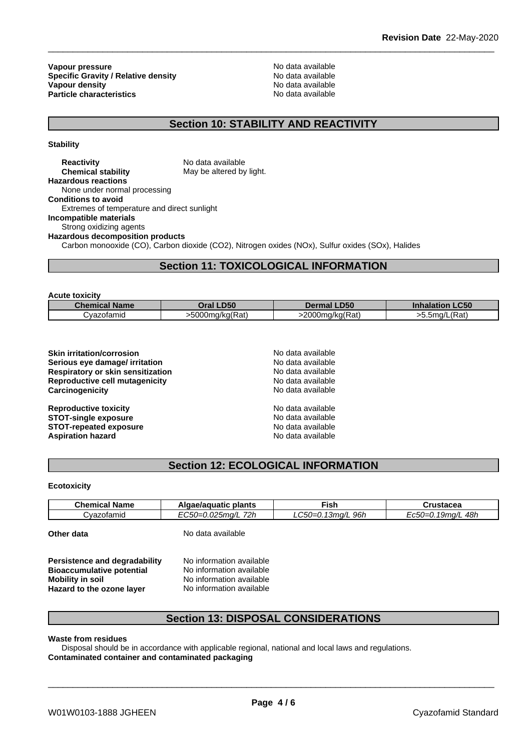**Vapour pressure**<br> **Specific Gravity / Relative density**<br> **Specific Gravity / Relative density**<br> **No data available Specific Gravity / Relative density and the Specific Gravity / Relative density No data available Vapour density Vapour density Particle characteristics** No data available

## **Section 10: STABILITY AND REACTIVITY**

**Stability**

**Reactivity** No data available **Chemical stability** May be altered by light. **Hazardous reactions** None under normal processing **Conditions to avoid** Extremes of temperature and direct sunlight **Incompatible materials** Strong oxidizing agents **Hazardous decomposition products** Carbon monooxide (CO), Carbon dioxide (CO2), Nitrogen oxides (NOx), Sulfur oxides (SOx), Halides

## **Section 11: TOXICOLOGICAL INFORMATION**

**Acute toxicity**

| Chem<br><b>Name</b> | <b>D50</b><br><b>Oral</b>                          | .D <sub>50</sub><br>.                          | <b>CEO</b><br>-ເວບ<br>.nnaiar |
|---------------------|----------------------------------------------------|------------------------------------------------|-------------------------------|
| ;vazofamid          | $-200$ mu<br>$\overline{\phantom{0}}$<br>ng/kg(Rat | 2000ı<br>$\overline{\phantom{a}}$<br>.a/ka(Rat | $CD0+$<br>5ma/!<br>-<br>'Ral  |

| <b>Skin irritation/corrosion</b>      |  |
|---------------------------------------|--|
| Serious eye damage/ irritation        |  |
| Respiratory or skin sensitization     |  |
| <b>Reproductive cell mutagenicity</b> |  |
| Carcinogenicity                       |  |
|                                       |  |
| Dannadusthus taulaltu                 |  |

**Reproductive toxicity**<br> **STOT-single exposure**<br> **STOT-single exposure STOT-single exposure STOT-repeated exposure**<br> **Aspiration bazard**<br> **Aspiration bazard**<br> **Aspiration bazard Aspiration hazard** 

**Skin irritation/corrosion** No data available **Serious eye damage/ irritation** No data available **Respiratory or skin sensitization** No data available **Reproductive cell mutagenicity** No data available **Carcinogenicity** No data available

## **Section 12: ECOLOGICAL INFORMATION**

#### **Ecotoxicity**

| - -<br><b>Name</b><br>$\mathsf{u}$ nemin | plants<br>แเน                                  | ∙ish                                    | `ructacas<br>151auca<br>. |
|------------------------------------------|------------------------------------------------|-----------------------------------------|---------------------------|
| ofamio<br>− <i>שבע</i>                   | 72h<br>$\sim$ $\sim$<br>$^{\prime\prime}$<br>. | 96h<br>nr.<br>$\sim$<br>$\prime$<br>. . | 48h<br>^∽<br>. J/L        |

**Other data** No data available

**Persistence and degradability** No information available<br>**Bioaccumulative potential** No information available **Bioaccumulative potential Mobility** in soil No information available **Hazard to the ozone layer** No information available

## **Section 13: DISPOSAL CONSIDERATIONS**

**Waste from residues**

Disposal should be in accordance with applicable regional, national and local laws and regulations. **Contaminated container and contaminated packaging**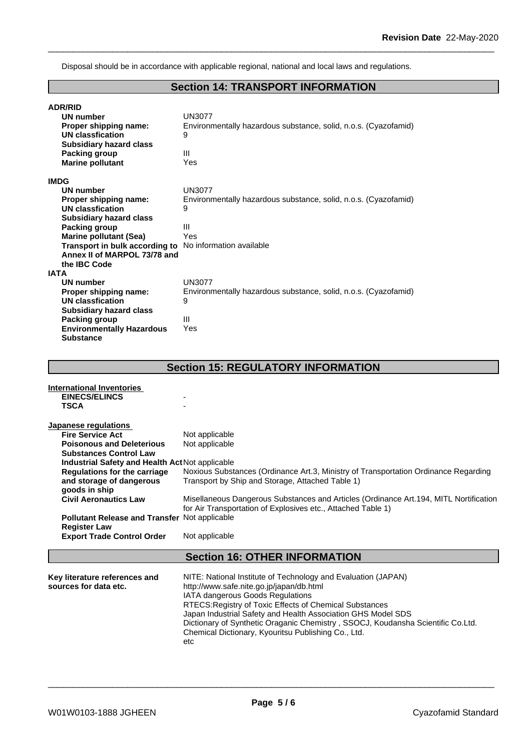Disposal should be in accordance with applicable regional, national and local laws and regulations.

## **Section 14: TRANSPORT INFORMATION**

| <b>ADR/RID</b>                   |                                                                 |
|----------------------------------|-----------------------------------------------------------------|
| <b>UN number</b>                 | <b>UN3077</b>                                                   |
| Proper shipping name:            | Environmentally hazardous substance, solid, n.o.s. (Cyazofamid) |
| <b>UN classfication</b>          | 9                                                               |
| <b>Subsidiary hazard class</b>   |                                                                 |
| Packing group                    | Ш                                                               |
| <b>Marine pollutant</b>          | Yes                                                             |
| <b>IMDG</b>                      |                                                                 |
| <b>UN number</b>                 | <b>UN3077</b>                                                   |
| Proper shipping name:            | Environmentally hazardous substance, solid, n.o.s. (Cyazofamid) |
| <b>UN classfication</b>          | 9                                                               |
| <b>Subsidiary hazard class</b>   |                                                                 |
| <b>Packing group</b>             | Ш                                                               |
| <b>Marine pollutant (Sea)</b>    | Yes                                                             |
| Transport in bulk according to   | No information available                                        |
| Annex II of MARPOL 73/78 and     |                                                                 |
| the IBC Code                     |                                                                 |
| <b>IATA</b>                      |                                                                 |
| <b>UN number</b>                 | <b>UN3077</b>                                                   |
| Proper shipping name:            | Environmentally hazardous substance, solid, n.o.s. (Cyazofamid) |
| <b>UN classfication</b>          | 9                                                               |
| <b>Subsidiary hazard class</b>   |                                                                 |
| <b>Packing group</b>             | Ш                                                               |
| <b>Environmentally Hazardous</b> | Yes                                                             |
| <b>Substance</b>                 |                                                                 |
|                                  |                                                                 |
|                                  |                                                                 |
|                                  | <b>Section 15: REGULATORY INFORMATION</b>                       |
|                                  |                                                                 |
| International Inventories        |                                                                 |

| <b>EINECS/ELINCS</b>                                 |                                                                                        |  |  |
|------------------------------------------------------|----------------------------------------------------------------------------------------|--|--|
| <b>TSCA</b>                                          |                                                                                        |  |  |
| Japanese regulations                                 |                                                                                        |  |  |
| <b>Fire Service Act</b>                              | Not applicable                                                                         |  |  |
| <b>Poisonous and Deleterious</b>                     | Not applicable                                                                         |  |  |
| <b>Substances Control Law</b>                        |                                                                                        |  |  |
| Industrial Safety and Health Act Not applicable      |                                                                                        |  |  |
| <b>Regulations for the carriage</b>                  | Noxious Substances (Ordinance Art.3, Ministry of Transportation Ordinance Regarding    |  |  |
| and storage of dangerous                             | Transport by Ship and Storage, Attached Table 1)                                       |  |  |
| goods in ship                                        |                                                                                        |  |  |
| <b>Civil Aeronautics Law</b>                         | Misellaneous Dangerous Substances and Articles (Ordinance Art. 194, MITL Nortification |  |  |
|                                                      | for Air Transportation of Explosives etc., Attached Table 1)                           |  |  |
| <b>Pollutant Release and Transfer Not applicable</b> |                                                                                        |  |  |
| <b>Register Law</b>                                  |                                                                                        |  |  |
| <b>Export Trade Control Order</b>                    | Not applicable                                                                         |  |  |
|                                                      | <b>Section 16: OTHER INFORMATION</b>                                                   |  |  |
| Key literature references and                        | NITE: National Institute of Technology and Evaluation (JAPAN)                          |  |  |
| sources for data etc.                                | http://www.safe.nite.go.jp/japan/db.html                                               |  |  |
|                                                      | IATA dangerous Goods Regulations                                                       |  |  |
|                                                      | RTECS: Registry of Toxic Effects of Chemical Substances                                |  |  |
|                                                      | Japan Industrial Safety and Health Association GHS Model SDS                           |  |  |
|                                                      | Dictionary of Synthetic Oraganic Chemistry, SSOCJ, Koudansha Scientific Co.Ltd.        |  |  |
|                                                      | Chemical Dictionary, Kyouritsu Publishing Co., Ltd.                                    |  |  |
|                                                      | etc                                                                                    |  |  |
|                                                      |                                                                                        |  |  |